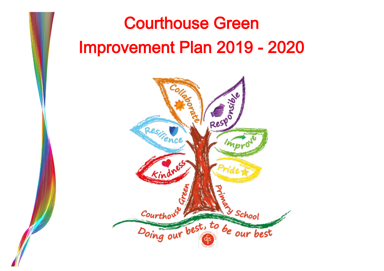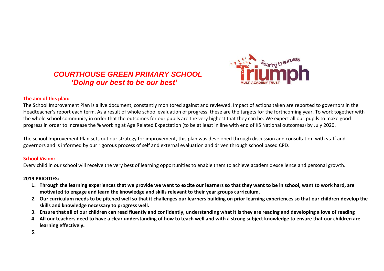# *COURTHOUSE GREEN PRIMARY SCHOOL 'Doing our best to be our best'*



#### **The aim of this plan:**

The School Improvement Plan is a live document, constantly monitored against and reviewed. Impact of actions taken are reported to governors in the Headteacher's report each term. As a result of whole school evaluation of progress, these are the targets for the forthcoming year. To work together with the whole school community in order that the outcomes for our pupils are the very highest that they can be. We expect all our pupils to make good progress in order to increase the % working at Age Related Expectation (to be at least in line with end of KS National outcomes) by July 2020.

The school Improvement Plan sets out our strategy for improvement, this plan was developed through discussion and consultation with staff and governors and is informed by our rigorous process of self and external evaluation and driven through school based CPD.

# **School Vision:**

Every child in our school will receive the very best of learning opportunities to enable them to achieve academic excellence and personal growth.

# **2019 PRIOITIES:**

- **1. Through the learning experiences that we provide we want to excite our learners so that they want to be in school, want to work hard, are motivated to engage and learn the knowledge and skills relevant to their year groups curriculum.**
- **2. Our curriculum needs to be pitched well so that it challenges our learners building on prior learning experiences so that our children develop the skills and knowledge necessary to progress well.**
- **3. Ensure that all of our children can read fluently and confidently, understanding what it is they are reading and developing a love of reading**
- **4. All our teachers need to have a clear understanding of how to teach well and with a strong subject knowledge to ensure that our children are learning effectively.**
- **5.**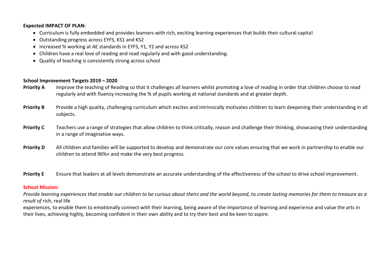#### **Expected IMPACT OF PLAN:**

- Curriculum is fully embedded and provides learners with rich, exciting learning experiences that builds their cultural capital
- Outstanding progress across EYFS, KS1 and KS2
- Increased % working at AE standards in EYFS, Y1, Y2 and across KS2
- Children have a real love of reading and read regularly and with good understanding.
- Quality of teaching is consistently strong across school

#### **School Improvement Targets 2019 – 2020**

- **Priority A** Improve the teaching of Reading so that it challenges all learners whilst promoting a love of reading in order that children choose to read regularly and with fluency increasing the % of pupils working at national standards and at greater depth.
- **Priority B** Provide a high quality, challenging curriculum which excites and intrinsically motivates children to learn deepening their understanding in all subjects.
- **Priority C** Teachers use a range of strategies that allow children to think critically, reason and challenge their thinking, showcasing their understanding in a range of imaginative ways.
- **Priority D** All children and families will be supported to develop and demonstrate our core values ensuring that we work in partnership to enable our children to attend 96%+ and make the very best progress.
- **Priority E** Ensure that leaders at all levels demonstrate an accurate understanding of the effectiveness of the school to drive school improvement.

#### **School Mission:**

*Provide learning experiences that enable our children to* b*e curious about theirs and the world beyond*, to *create lasting memories for them to treasure as a result of* rich, real life

experiences, to enable them to emotionally connect with their learning, being aware of the importance of learning and experience and value the arts in their lives, achieving highly, becoming confident in their own ability and to try their best and be keen to aspire.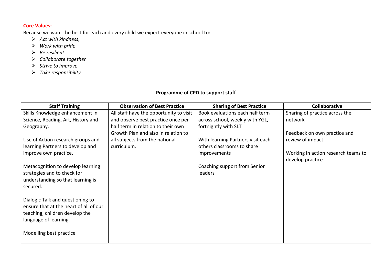# **Core Values:**

Because we want the best for each and every child we expect everyone in school to:

- *Act with kindness,*
- *Work with pride*
- *Be resilient*
- *Collaborate together*
- *Strive to improve*
- *Take responsibility*

# **Programme of CPD to support staff**

| <b>Staff Training</b>                  | <b>Observation of Best Practice</b>     | <b>Sharing of Best Practice</b>   | <b>Collaborative</b>                |
|----------------------------------------|-----------------------------------------|-----------------------------------|-------------------------------------|
| Skills Knowledge enhancement in        | All staff have the opportunity to visit | Book evaluations each half term   | Sharing of practice across the      |
| Science, Reading, Art, History and     | and observe best practice once per      | across school, weekly with YGL,   | network                             |
| Geography.                             | half term in relation to their own      | fortnightly with SLT              |                                     |
|                                        | Growth Plan and also in relation to     |                                   | Feedback on own practice and        |
| Use of Action research groups and      | all subjects from the national          | With learning Partners visit each | review of impact                    |
| learning Partners to develop and       | curriculum.                             | others classrooms to share        |                                     |
| improve own practice.                  |                                         | <i>improvements</i>               | Working in action research teams to |
|                                        |                                         |                                   | develop practice                    |
| Metacognition to develop learning      |                                         | Coaching support from Senior      |                                     |
| strategies and to check for            |                                         | leaders                           |                                     |
| understanding so that learning is      |                                         |                                   |                                     |
| secured.                               |                                         |                                   |                                     |
|                                        |                                         |                                   |                                     |
| Dialogic Talk and questioning to       |                                         |                                   |                                     |
| ensure that at the heart of all of our |                                         |                                   |                                     |
| teaching, children develop the         |                                         |                                   |                                     |
| language of learning.                  |                                         |                                   |                                     |
|                                        |                                         |                                   |                                     |
| Modelling best practice                |                                         |                                   |                                     |
|                                        |                                         |                                   |                                     |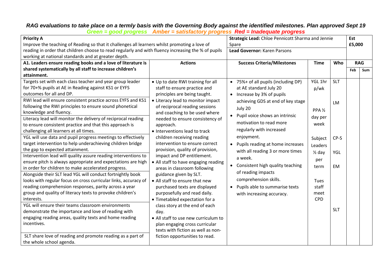# *RAG evaluations to take place on a termly basis with the Governing Body against the identified milestones. Plan approved Sept 19*

| <b>Priority A</b><br>Improve the teaching of Reading so that it challenges all learners whilst promoting a love of<br>reading in order that children choose to read regularly and with fluency increasing the % of pupils<br>working at national standards and at greater depth.                                                                                                                                                                                                                                                                                                                                                                                                                                                                                                                                                                                                                                                                                                                                                                                                                                                                                                                                                                                                                                           |                                                                                                                                                                                                                                                                                                                                                                                                                                                                                                                                                                                                                                                                                                                                                                                                                            | Strategic Lead: Chloe Pennicott Sharma and Jennie<br>Spare<br>Lead Governor: Karen Parsons |                                                                                                                                                                                                                                                                                                                                                                                                                                                    |                                                                                                                                                |                                       | Est<br>£5,000     |            |
|----------------------------------------------------------------------------------------------------------------------------------------------------------------------------------------------------------------------------------------------------------------------------------------------------------------------------------------------------------------------------------------------------------------------------------------------------------------------------------------------------------------------------------------------------------------------------------------------------------------------------------------------------------------------------------------------------------------------------------------------------------------------------------------------------------------------------------------------------------------------------------------------------------------------------------------------------------------------------------------------------------------------------------------------------------------------------------------------------------------------------------------------------------------------------------------------------------------------------------------------------------------------------------------------------------------------------|----------------------------------------------------------------------------------------------------------------------------------------------------------------------------------------------------------------------------------------------------------------------------------------------------------------------------------------------------------------------------------------------------------------------------------------------------------------------------------------------------------------------------------------------------------------------------------------------------------------------------------------------------------------------------------------------------------------------------------------------------------------------------------------------------------------------------|--------------------------------------------------------------------------------------------|----------------------------------------------------------------------------------------------------------------------------------------------------------------------------------------------------------------------------------------------------------------------------------------------------------------------------------------------------------------------------------------------------------------------------------------------------|------------------------------------------------------------------------------------------------------------------------------------------------|---------------------------------------|-------------------|------------|
| A1. Leaders ensure reading books and a love of literature is<br>shared systematically by all staff to increase children's<br>attainment.<br>Targets set with each class teacher and year group leader                                                                                                                                                                                                                                                                                                                                                                                                                                                                                                                                                                                                                                                                                                                                                                                                                                                                                                                                                                                                                                                                                                                      | <b>Actions</b><br>• Up to date RWI training for all                                                                                                                                                                                                                                                                                                                                                                                                                                                                                                                                                                                                                                                                                                                                                                        |                                                                                            | <b>Success Criteria/Milestones</b><br>• 75%+ of all pupils (including DP)                                                                                                                                                                                                                                                                                                                                                                          | <b>Time</b><br>YGL 1hr                                                                                                                         | Who<br><b>SLT</b>                     | <b>RAG</b><br>Feb | <b>Sum</b> |
| for 70+% pupils at AE in Reading against KS1 or EYFS<br>outcomes for all and DP.<br>RWI lead will ensure consistent practice across EYFS and KS1<br>following the RWI principles to ensure sound phonetical<br>knowledge and fluency.<br>Literacy lead will monitor the delivery of reciprocal reading<br>to ensure consistent practice and that this approach is<br>challenging all learners at all times.<br>YGL will use data and pupil progress meetings to effectively<br>target intervention to help underachieving children bridge<br>the gap to expected attainment.<br>Intervention lead will quality assure reading interventions to<br>ensure pitch is always appropriate and expectations are high<br>in order for children to make accelerated progress.<br>Alongside their SLT lead YGL will conduct fortnightly book<br>looks with regular focus on cross curricular links, accuracy of<br>reading comprehension responses, parity across a year<br>group and quality of literacy texts to provoke children's<br>interests.<br>YGL will ensure their teams classroom environments<br>demonstrate the importance and love of reading with<br>engaging reading areas, quality texts and home reading<br>incentives.<br>SLT share love of reading and promote reading as a part of<br>the whole school agenda. | staff to ensure practice and<br>principles are being taught.<br>• Literacy lead to monitor impact<br>of reciprocal reading sessions<br>and coaching to be used where<br>needed to ensure consistency of<br>approach.<br>• Interventions lead to track<br>children receiving reading<br>intervention to ensure correct<br>provision, quality of provision,<br>impact and DP entitlement.<br>• All staff to have engaging reading<br>areas in classroom following<br>guidance given by SLT.<br>• All staff to ensure that new<br>purchased texts are displayed<br>purposefully and read daily.<br>• Timetabled expectation for a<br>class story at the end of each<br>day.<br>• All staff to use new curriculum to<br>plan engaging cross curricular<br>texts with fiction as well as non-<br>fiction opportunities to read. |                                                                                            | at AE standard July 20<br>• Increase by 3% of pupils<br>achieving GDS at end of key stage<br>July 20<br>Pupil voice shows an intrinsic<br>motivation to read more<br>regularly with increased<br>enjoyment.<br>Pupils reading at home increases<br>with all reading 3 or more times<br>a week.<br>• Consistent high quality teaching<br>of reading impacts<br>comprehension skills.<br>Pupils able to summarise texts<br>with increasing accuracy. | p/wk<br>PPA <sub>1/2</sub><br>day per<br>week<br>Subject<br>Leaders<br>$\frac{1}{2}$ day<br>per<br>term<br><b>Tues</b><br>staff<br>meet<br>CPD | LM<br>CP-S<br>YGL<br>EM<br><b>SLT</b> |                   |            |

*Green = good progress Amber = satisfactory progress Red = Inadequate progress*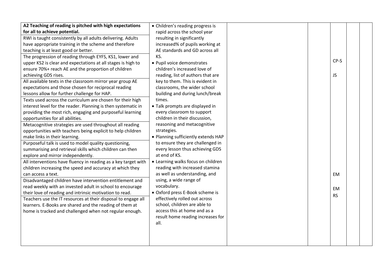| A2 Teaching of reading is pitched with high expectations       | • Children's reading progress is    |  |           |  |
|----------------------------------------------------------------|-------------------------------------|--|-----------|--|
| for all to achieve potential.                                  | rapid across the school year        |  |           |  |
| RWI is taught consistently by all adults delivering. Adults    | resulting in significantly          |  |           |  |
| have appropriate training in the scheme and therefore          | increased% of pupils working at     |  |           |  |
| teaching is at least good or better.                           | AE standards and GD across all      |  |           |  |
| The progression of reading through EYFS, KS1, lower and        | KS.                                 |  |           |  |
| upper KS2 is clear and expectations at all stages is high to   | • Pupil voice demonstrates          |  | CP-S      |  |
| ensure 70%+ reach AE and the proportion of children            | children's increased love of        |  |           |  |
| achieving GDS rises.                                           | reading, list of authors that are   |  | <b>JS</b> |  |
| All available texts in the classroom mirror year group AE      | key to them. This is evident in     |  |           |  |
| expectations and those chosen for reciprocal reading           | classrooms, the wider school        |  |           |  |
| lessons allow for further challenge for HAP.                   | building and during lunch/break     |  |           |  |
| Texts used across the curriculum are chosen for their high     | times.                              |  |           |  |
| interest level for the reader. Planning is then systematic in  | • Talk prompts are displayed in     |  |           |  |
| providing the most rich, engaging and purposeful learning      | every classroom to support          |  |           |  |
| opportunities for all abilities.                               | children in their discussion,       |  |           |  |
| Metacognitive strategies are used throughout all reading       | reasoning and metacognitive         |  |           |  |
| opportunities with teachers being explicit to help children    | strategies.                         |  |           |  |
| make links in their learning.                                  | • Planning sufficiently extends HAP |  |           |  |
| Purposeful talk is used to model quality questioning,          | to ensure they are challenged in    |  |           |  |
| summarising and retrieval skills which children can then       | every lesson thus achieving GDS     |  |           |  |
| explore and mirror independently.                              | at end of KS.                       |  |           |  |
| All interventions have fluency in reading as a key target with | • Learning walks focus on children  |  |           |  |
| children increasing the speed and accuracy at which they       | reading with increased stamina      |  |           |  |
| can access a text.                                             | as well as understanding, and       |  | <b>EM</b> |  |
| Disadvantaged children have intervention entitlement and       | using, a wide range of              |  |           |  |
| read weekly with an invested adult in school to encourage      | vocabulary.                         |  | <b>EM</b> |  |
| their love of reading and intrinsic motivation to read.        | • Oxford press E-Book scheme is     |  | <b>RS</b> |  |
| Teachers use the IT resources at their disposal to engage all  | effectively rolled out across       |  |           |  |
| learners. E-Books are shared and the reading of them at        | school, children are able to        |  |           |  |
| home is tracked and challenged when not regular enough.        | access this at home and as a        |  |           |  |
|                                                                | result home reading increases for   |  |           |  |
|                                                                | all.                                |  |           |  |
|                                                                |                                     |  |           |  |
|                                                                |                                     |  |           |  |
|                                                                |                                     |  |           |  |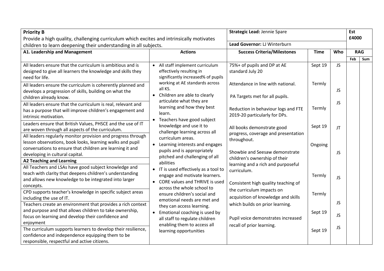| <b>Priority B</b>                                                                                                                                                                                                                            |                                                                                                                                                            | Strategic Lead: Jennie Spare                                                                        |             |           | Est   |            |
|----------------------------------------------------------------------------------------------------------------------------------------------------------------------------------------------------------------------------------------------|------------------------------------------------------------------------------------------------------------------------------------------------------------|-----------------------------------------------------------------------------------------------------|-------------|-----------|-------|------------|
| Provide a high quality, challenging curriculum which excites and intrinsically motivates                                                                                                                                                     |                                                                                                                                                            |                                                                                                     |             |           | £4000 |            |
| children to learn deepening their understanding in all subjects.                                                                                                                                                                             |                                                                                                                                                            | Lead Governor: LJ Winterburn                                                                        |             |           |       |            |
| A1. Leadership and Management                                                                                                                                                                                                                | <b>Actions</b>                                                                                                                                             | <b>Success Criteria/Milestones</b>                                                                  | <b>Time</b> | Who       |       | <b>RAG</b> |
|                                                                                                                                                                                                                                              |                                                                                                                                                            |                                                                                                     |             |           | Feb   | <b>Sum</b> |
| All leaders ensure that the curriculum is ambitious and is<br>designed to give all learners the knowledge and skills they<br>need for life.                                                                                                  | All staff implement curriculum<br>$\bullet$<br>effectively resulting in<br>significantly increased% of pupils                                              | 75%+ of pupils and DP at AE<br>standard July 20                                                     | Sept 19     | <b>JS</b> |       |            |
| All leaders ensure the curriculum is coherently planned and<br>develops a progression of skills, building on what the<br>children already know.                                                                                              | working at AE standards across<br>all KS.<br>• Children are able to clearly<br>articulate what they are                                                    | Attendance in line with national.<br>PA Targets met for all pupils.                                 | Termly      | JS.       |       |            |
| All leaders ensure that the curriculum is real, relevant and<br>has a purpose that will improve children's engagement and<br>intrinsic motivation.                                                                                           | learning and how they best<br>learn.<br>Teachers have good subject<br>$\bullet$                                                                            | Reduction in behaviour logs and FTE<br>2019-20 particularly for DPs.                                | Termly      | <b>JS</b> |       |            |
| Leaders ensure that British Values, PHSCE and the use of IT<br>are woven through all aspects of the curriculum.<br>All leaders regularly monitor provision and progress through<br>lesson observations, book looks, learning walks and pupil | knowledge and use it to<br>challenge learning across all<br>curriculum areas.                                                                              | All books demonstrate good<br>progress, coverage and presentation<br>throughout.                    | Sept 19     | JT        |       |            |
| conversations to ensure that children are learning it and<br>developing in cultural capital.<br><b>A2 Teaching and Learning</b>                                                                                                              | • Learning interests and engages<br>pupils and is appropriately<br>pitched and challenging of all<br>abilities                                             | Showbie and Seesaw demonstrate<br>children's ownership of their                                     | Ongoing     | <b>JS</b> |       |            |
| All Teachers and LSAs have good subject knowledge and<br>teach with clarity that deepens children's understanding<br>and allows new knowledge to be integrated into larger<br>concepts.                                                      | • IT is used effectively as a tool to<br>engage and motivate learners.<br><b>CORE values and THRIVE is used</b><br>$\bullet$<br>across the whole school to | learning and a rich and purposeful<br>curriculum.<br>Consistent high quality teaching of            | Termly      | <b>JS</b> |       |            |
| CPD supports teacher's knowledge in specific subject areas<br>including the use of IT.<br>Teachers create an environment that provides a rich context                                                                                        | ensure children's social and<br>emotional needs are met and                                                                                                | the curriculum impacts on<br>acquisition of knowledge and skills<br>which builds on prior learning. | Termly      | <b>JS</b> |       |            |
| and purpose and that allows children to take ownership,<br>focus on learning and develop their confidence and<br>enjoyment                                                                                                                   | they can access learning.<br>Emotional coaching is used by<br>$\bullet$<br>all staff to regulate children                                                  | Pupil voice demonstrates increased                                                                  | Sept 19     | <b>JS</b> |       |            |
| The curriculum supports learners to develop their resilience,<br>confidence and independence equipping them to be<br>responsible, respectful and active citizens.                                                                            | enabling them to access all<br>learning opportunities                                                                                                      | recall of prior learning.                                                                           | Sept 19     | <b>JS</b> |       |            |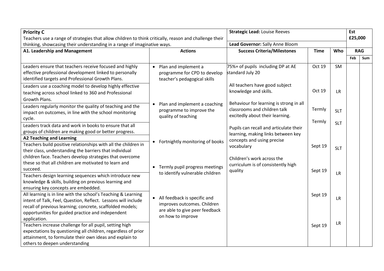| <b>Priority C</b><br>Teachers use a range of strategies that allow children to think critically, reason and challenge their                                                                                                                      |                                                                                                            | <b>Strategic Lead: Louise Reeves</b>                                                                             |                  |                        | Est<br>£25,000 |            |
|--------------------------------------------------------------------------------------------------------------------------------------------------------------------------------------------------------------------------------------------------|------------------------------------------------------------------------------------------------------------|------------------------------------------------------------------------------------------------------------------|------------------|------------------------|----------------|------------|
| thinking, showcasing their understanding in a range of imaginative ways.                                                                                                                                                                         |                                                                                                            | Lead Governor: Sally Anne Bloom                                                                                  |                  |                        |                |            |
| A1. Leadership and Management                                                                                                                                                                                                                    | <b>Actions</b>                                                                                             | <b>Success Criteria/Milestones</b>                                                                               | <b>Time</b>      | Who                    |                | <b>RAG</b> |
|                                                                                                                                                                                                                                                  |                                                                                                            |                                                                                                                  |                  |                        | Feb            | Sum        |
| Leaders ensure that teachers receive focused and highly<br>effective professional development linked to personally<br>identified targets and Professional Growth Plans.<br>Leaders use a coaching model to develop highly effective              | Plan and implement a<br>$\bullet$<br>programme for CPD to develop<br>teacher's pedagogical skills          | 75%+ of pupils including DP at AE<br>standard July 20<br>All teachers have good subject<br>knowledge and skills. | Oct 19<br>Oct 19 | <b>SM</b><br><b>LR</b> |                |            |
| teaching across school linked to 360 and Professional<br>Growth Plans.                                                                                                                                                                           |                                                                                                            |                                                                                                                  |                  |                        |                |            |
| Leaders regularly monitor the quality of teaching and the<br>impact on outcomes, in line with the school monitoring<br>cycle.                                                                                                                    | Plan and implement a coaching<br>$\bullet$<br>programme to improve the<br>quality of teaching              | Behaviour for learning is strong in all<br>classrooms and children talk<br>excitedly about their learning.       | Termly           | <b>SLT</b>             |                |            |
| Leaders track data and work in books to ensure that all                                                                                                                                                                                          |                                                                                                            |                                                                                                                  | Termly           | <b>SLT</b>             |                |            |
| groups of children are making good or better progress.                                                                                                                                                                                           |                                                                                                            | Pupils can recall and articulate their                                                                           |                  |                        |                |            |
| <b>A2 Teaching and Learning</b>                                                                                                                                                                                                                  |                                                                                                            | learning, making links between key                                                                               |                  |                        |                |            |
| Teachers build positive relationships with all the children in<br>their class, understanding the barriers that individual                                                                                                                        | Fortnightly monitoring of books                                                                            | concepts and using precise<br>vocabulary                                                                         | Sept 19          | <b>SLT</b>             |                |            |
| children face. Teachers develop strategies that overcome<br>these so that all children are motivated to learn and<br>succeed.                                                                                                                    | Termly pupil progress meetings<br>$\bullet$                                                                | Children's work across the<br>curriculum is of consistently high<br>quality                                      | Sept 19          |                        |                |            |
| Teachers design learning sequences which introduce new<br>knowledge & skills, building on previous learning and<br>ensuring key concepts are embedded.                                                                                           | to identify vulnerable children                                                                            |                                                                                                                  |                  | <b>LR</b>              |                |            |
| All learning is in line with the school's Teaching & Learning<br>intent of Talk, Feel, Question, Reflect. Lessons will include<br>recall of previous learning; concrete, scaffolded models;<br>opportunities for guided practice and independent | All feedback is specific and<br>$\bullet$<br>improves outcomes. Children<br>are able to give peer feedback |                                                                                                                  | Sept 19          | <b>LR</b>              |                |            |
| application.<br>Teachers increase challenge for all pupil, setting high<br>expectations by questioning all children, regardless of prior<br>attainment, to formulate their own ideas and explain to<br>others to deepen understanding            | on how to improve                                                                                          |                                                                                                                  | Sept 19          | <b>LR</b>              |                |            |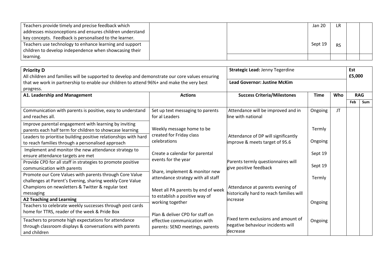| Teachers provide timely and precise feedback which       |  | Jan 20  | LR        |  |
|----------------------------------------------------------|--|---------|-----------|--|
| addresses misconceptions and ensures children understand |  |         |           |  |
| key concepts. Feedback is personalised to the learner.   |  |         |           |  |
| Teachers use technology to enhance learning and support  |  | Sept 19 | <b>RS</b> |  |
| children to develop independence when showcasing their   |  |         |           |  |
| learning.                                                |  |         |           |  |

| <b>Priority D</b><br>All children and families will be supported to develop and demonstrate our core values ensuring<br>that we work in partnership to enable our children to attend 96%+ and make the very best |                                                                      | <b>Strategic Lead: Jenny Tegerdine</b><br><b>Lead Governor: Justine McKim</b>        |             |           | Est<br>£5,000 |            |
|------------------------------------------------------------------------------------------------------------------------------------------------------------------------------------------------------------------|----------------------------------------------------------------------|--------------------------------------------------------------------------------------|-------------|-----------|---------------|------------|
| progress.                                                                                                                                                                                                        |                                                                      |                                                                                      |             |           |               |            |
| A1. Leadership and Management                                                                                                                                                                                    | <b>Actions</b>                                                       | <b>Success Criteria/Milestones</b>                                                   | <b>Time</b> |           | <b>RAG</b>    |            |
|                                                                                                                                                                                                                  |                                                                      |                                                                                      |             |           | Feb           | <b>Sum</b> |
| Communication with parents is positive, easy to understand<br>and reaches all.                                                                                                                                   | Set up text messaging to parents<br>for al Leaders                   | Attendance will be improved and in<br>line with national                             | Ongoing     | <b>JT</b> |               |            |
| Improve parental engagement with learning by inviting<br>parents each half term for children to showcase learning                                                                                                | Weekly message home to be                                            |                                                                                      | Termly      |           |               |            |
| Leaders to prioritise building positive relationships with hard<br>to reach families through a personalised approach                                                                                             | created for Friday class<br>celebrations                             | Attendance of DP will significantly<br>improve & meets target of 95.6                | Ongoing     |           |               |            |
| Implement and monitor the new attendance strategy to<br>ensure attendance targets are met                                                                                                                        | Create a calendar for parental<br>events for the year                |                                                                                      | Sept 19     |           |               |            |
| Provide CPD for all staff in strategies to promote positive<br>communication with parents                                                                                                                        | Share, implement & monitor new                                       | Parents termly questionnaires will<br>give positive feedback                         | Sept 19     |           |               |            |
| Promote our Core Values with parents through Core Value<br>challenges at Parent's Evening, sharing weekly Core Value                                                                                             | attendance strategy with all staff                                   |                                                                                      | Termly      |           |               |            |
| Champions on newsletters & Twitter & regular text<br>messaging                                                                                                                                                   | Meet all PA parents by end of week<br>to establish a positive way of | Attendance at parents evening of<br>historically hard to reach families will         |             |           |               |            |
| <b>A2 Teaching and Learning</b>                                                                                                                                                                                  | working together                                                     | lincrease                                                                            | Ongoing     |           |               |            |
| Teachers to celebrate weekly successes through post cards<br>home for TTRS, reader of the week & Pride Box                                                                                                       | Plan & deliver CPD for staff on                                      |                                                                                      |             |           |               |            |
| Teachers to promote high expectations for attendance<br>through classroom displays & conversations with parents<br>and children                                                                                  | effective communication with<br>parents: SEND meetings, parents      | Fixed term exclusions and amount of<br>negative behaviour incidents will<br>decrease | Ongoing     |           |               |            |